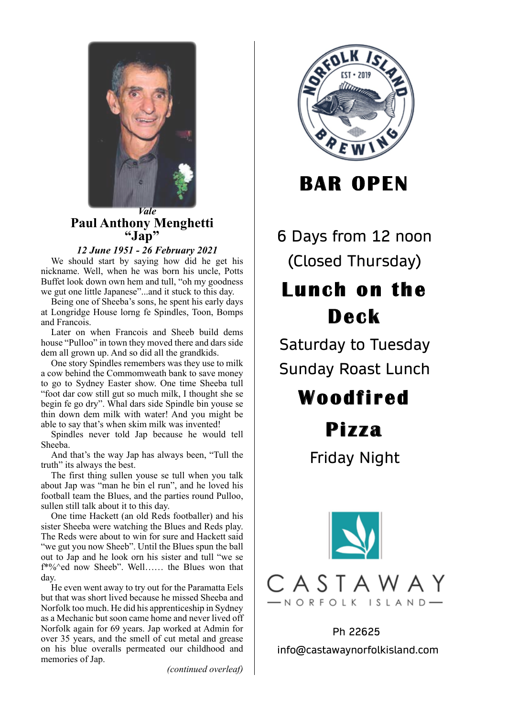

*Vale* Paul Anthony Menghetti **"Jap"**

*12 June 1951 - 26 February 2021*

We should start by saying how did he get his nickname. Well, when he was born his uncle, Potts Buffet look down own hem and tull, "oh my goodness we gut one little Japanese"...and it stuck to this day.

Being one of Sheeba's sons, he spent his early days at Longridge House lorng fe Spindles, Toon, Bomps and Francois.

Later on when Francois and Sheeb build dems house "Pulloo" in town they moved there and dars side dem all grown up. And so did all the grandkids.

One story Spindles remembers was they use to milk a cow behind the Commomweath bank to save money to go to Sydney Easter show. One time Sheeba tull "foot dar cow still gut so much milk, I thought she se begin fe go dry". Whal dars side Spindle bin youse se thin down dem milk with water! And you might be able to say that's when skim milk was invented!

Spindles never told Jap because he would tell Sheeba.

And that's the way Jap has always been, "Tull the truth" its always the best.

The first thing sullen youse se tull when you talk about Jap was "man he bin el run", and he loved his football team the Blues, and the parties round Pulloo, sullen still talk about it to this day.

One time Hackett (an old Reds footballer) and his sister Sheeba were watching the Blues and Reds play. The Reds were about to win for sure and Hackett said "we gut you now Sheeb". Until the Blues spun the ball out to Jap and he look orn his sister and tull "we se f\*%^ed now Sheeb". Well…… the Blues won that day.

He even went away to try out for the Paramatta Eels but that was short lived because he missed Sheeba and Norfolk too much. He did his apprenticeship in Sydney as a Mechanic but soon came home and never lived off Norfolk again for 69 years. Jap worked at Admin for over 35 years, and the smell of cut metal and grease on his blue overalls permeated our childhood and memories of Jap.

*(continued overleaf)*



**BAR OPEN**

6 Days from 12 noon (Closed Thursday)

# **Lunch on the Deck**

Saturday to Tuesday Sunday Roast Lunch

# **Woodfi red**

## **Pi z za**

Friday Night



Ph 22625 info@castawaynorfolkisland.com